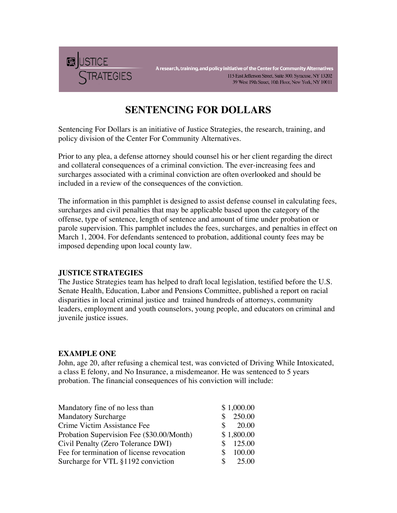

A research, training, and policy initiative of the Center for Community Alternatives 115 East Jefferson Street, Suite 300, Syracuse, NY 13202 39 West 19th Street, 10th Floor, New York, NY 10011

# **SENTENCING FOR DOLLARS**

Sentencing For Dollars is an initiative of Justice Strategies, the research, training, and policy division of the Center For Community Alternatives.

Prior to any plea, a defense attorney should counsel his or her client regarding the direct and collateral consequences of a criminal conviction. The ever-increasing fees and surcharges associated with a criminal conviction are often overlooked and should be included in a review of the consequences of the conviction.

The information in this pamphlet is designed to assist defense counsel in calculating fees, surcharges and civil penalties that may be applicable based upon the category of the offense, type of sentence, length of sentence and amount of time under probation or parole supervision. This pamphlet includes the fees, surcharges, and penalties in effect on March 1, 2004. For defendants sentenced to probation, additional county fees may be imposed depending upon local county law.

### **JUSTICE STRATEGIES**

The Justice Strategies team has helped to draft local legislation, testified before the U.S. Senate Health, Education, Labor and Pensions Committee, published a report on racial disparities in local criminal justice and! trained hundreds of attorneys, community leaders, employment and youth counselors, young people, and educators on criminal and juvenile justice issues.

### **EXAMPLE ONE**

John, age 20, after refusing a chemical test, was convicted of Driving While Intoxicated, a class E felony, and No Insurance, a misdemeanor. He was sentenced to 5 years probation. The financial consequences of his conviction will include:

| Mandatory fine of no less than            | \$1,000.00    |
|-------------------------------------------|---------------|
| <b>Mandatory Surcharge</b>                | \$!!! 250.00  |
| Crime Victim Assistance Fee               | \$ !!!!!20.00 |
| Probation Supervision Fee (\$30.00/Month) | \$1,800.00    |
| Civil Penalty (Zero Tolerance DWI)        | $$$ !!!125.00 |
| Fee for termination of license revocation | \$!!! 100.00  |
| Surcharge for VTL §1192 conviction        | \$ !!!!!25.00 |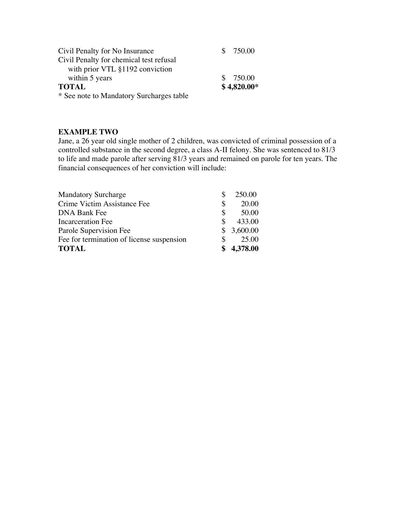| Civil Penalty for No Insurance           | $$$ !!!750.00 |
|------------------------------------------|---------------|
| Civil Penalty for chemical test refusal  |               |
| with prior VTL §1192 conviction          |               |
| within 5 years                           | \$!!! 750.00  |
| <b>TOTAL</b>                             | $$4,820.00*$  |
| * See note to Mandatory Surcharges table |               |

### **EXAMPLE TWO**

Jane, a 26 year old single mother of 2 children, was convicted of criminal possession of a controlled substance in the second degree, a class A-II felony. She was sentenced to 81/3 to life and made parole after serving 81/3 years and remained on parole for ten years. The financial consequences of her conviction will include:

| <b>Mandatory Surcharge</b>                | $$$ !!!!! 250.00 |
|-------------------------------------------|------------------|
| Crime Victim Assistance Fee               | \$ !!!!!!!20.00  |
| <b>DNA Bank Fee</b>                       | \$ !!!!!!!50.00  |
| <b>Incarceration Fee</b>                  | $$$ !!!!!433.00  |
| Parole Supervision Fee                    | $$$ !!3,600.00   |
| Fee for termination of license suspension | \$!!!!!!! 25.00  |
| <b>TOTAL</b>                              | \$4,378.00       |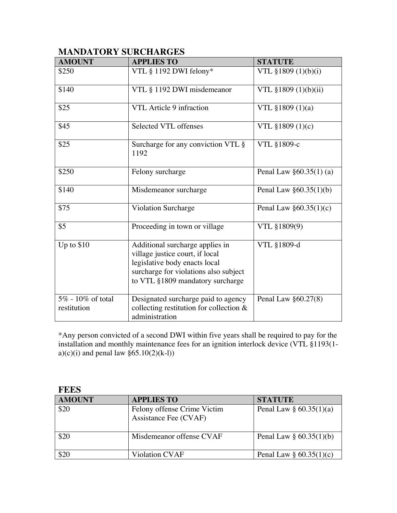### **MANDATORY SURCHARGES**

| <b>AMOUNT</b>                       | <b>APPLIES TO</b>                                                                                                                                                                | <b>STATUTE</b>              |
|-------------------------------------|----------------------------------------------------------------------------------------------------------------------------------------------------------------------------------|-----------------------------|
| \$250                               | VTL § 1192 DWI felony*                                                                                                                                                           | VTL $$1809 (1)(b)(i)$       |
| \$140                               | VTL § 1192 DWI misdemeanor                                                                                                                                                       | VTL §1809 (1)(b)(ii)        |
| \$25                                | VTL Article 9 infraction                                                                                                                                                         | VTL $$1809(1)(a)$           |
| \$45                                | Selected VTL offenses                                                                                                                                                            | VTL §1809 (1)(c)            |
| \$25                                | Surcharge for any conviction VTL §<br>1192                                                                                                                                       | VTL §1809-c                 |
| \$250                               | Felony surcharge                                                                                                                                                                 | Penal Law $\S 60.35(1)$ (a) |
| \$140                               | Misdemeanor surcharge                                                                                                                                                            | Penal Law $\S 60.35(1)(b)$  |
| \$75                                | <b>Violation Surcharge</b>                                                                                                                                                       | Penal Law $§60.35(1)(c)$    |
| \$5                                 | Proceeding in town or village                                                                                                                                                    | VTL §1809(9)                |
| Up to $$10$                         | Additional surcharge applies in<br>village justice court, if local<br>legislative body enacts local<br>surcharge for violations also subject<br>to VTL §1809 mandatory surcharge | VTL §1809-d                 |
| $5\%$ - 10% of total<br>restitution | Designated surcharge paid to agency<br>collecting restitution for collection $\&$<br>administration                                                                              | Penal Law $\S 60.27(8)$     |

\*Any person convicted of a second DWI within five years shall be required to pay for the installation and monthly maintenance fees for an ignition interlock device (VTL §1193(1 a)(c)(i) and penal law  $\S 65.10(2)(k-l)$ )

| <b>FEES</b>   |                                                      |                            |
|---------------|------------------------------------------------------|----------------------------|
| <b>AMOUNT</b> | <b>APPLIES TO</b>                                    | <b>STATUTE</b>             |
| \$20          | Felony offense Crime Victim<br>Assistance Fee (CVAF) | Penal Law $\S 60.35(1)(a)$ |
| \$20          | Misdemeanor offense CVAF                             | Penal Law $\S 60.35(1)(b)$ |
|               | <b>Violation CVAF</b>                                | Penal Law $\S 60.35(1)(c)$ |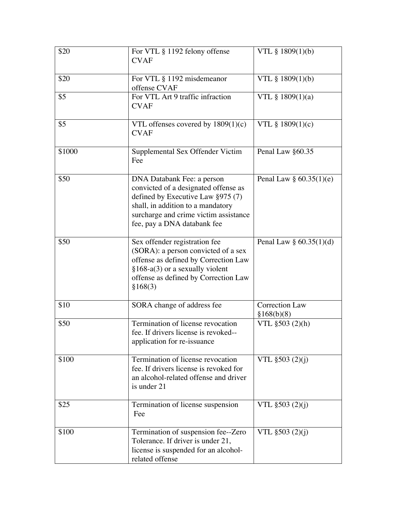| \$20   | For VTL § 1192 felony offense<br><b>CVAF</b>                                                                                                                                                                         | VTL § 1809(1)(b)                    |
|--------|----------------------------------------------------------------------------------------------------------------------------------------------------------------------------------------------------------------------|-------------------------------------|
| \$20   | For VTL § 1192 misdemeanor<br>offense CVAF                                                                                                                                                                           | VTL § 1809(1)(b)                    |
| \$5    | For VTL Art 9 traffic infraction<br><b>CVAF</b>                                                                                                                                                                      | VTL $§$ 1809(1)(a)                  |
| \$5    | VTL offenses covered by $1809(1)(c)$<br><b>CVAF</b>                                                                                                                                                                  | VTL $§$ 1809(1)(c)                  |
| \$1000 | Supplemental Sex Offender Victim<br>Fee                                                                                                                                                                              | Penal Law §60.35                    |
| \$50   | DNA Databank Fee: a person<br>convicted of a designated offense as<br>defined by Executive Law §975 (7)<br>shall, in addition to a mandatory<br>surcharge and crime victim assistance<br>fee, pay a DNA databank fee | Penal Law $\S 60.35(1)(e)$          |
| \$50   | Sex offender registration fee<br>(SORA): a person convicted of a sex<br>offense as defined by Correction Law<br>$§168-a(3)$ or a sexually violent<br>offense as defined by Correction Law<br>§168(3)                 | Penal Law $\S 60.35(1)(d)$          |
| \$10   | SORA change of address fee                                                                                                                                                                                           | <b>Correction Law</b><br>§168(b)(8) |
| \$50   | Termination of license revocation<br>fee. If drivers license is revoked--<br>application for re-issuance                                                                                                             | VTL $$503 (2)(h)$                   |
| \$100  | Termination of license revocation<br>fee. If drivers license is revoked for<br>an alcohol-related offense and driver<br>is under 21                                                                                  | VTL §503 (2)(j)                     |
| \$25   | Termination of license suspension<br>Fee                                                                                                                                                                             | VTL $$503 (2)(j)$                   |
| \$100  | Termination of suspension fee--Zero<br>Tolerance. If driver is under 21,<br>license is suspended for an alcohol-<br>related offense                                                                                  | VTL $$503 (2)(i)$                   |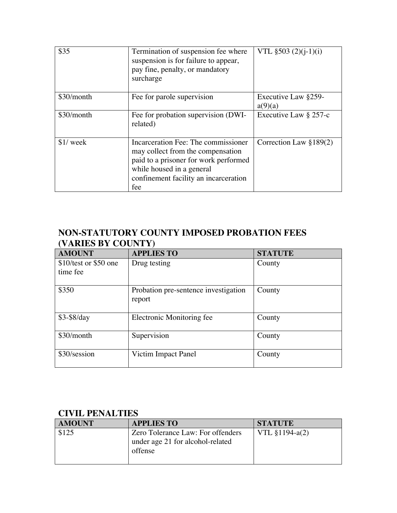| \$35       | Termination of suspension fee where<br>suspension is for failure to appear,<br>pay fine, penalty, or mandatory<br>surcharge                                                                    | VTL $$503 (2)(j-1)(i)$         |
|------------|------------------------------------------------------------------------------------------------------------------------------------------------------------------------------------------------|--------------------------------|
| \$30/month | Fee for parole supervision                                                                                                                                                                     | Executive Law §259-<br>a(9)(a) |
| \$30/month | Fee for probation supervision (DWI-<br>related)                                                                                                                                                | Executive Law § 257-c          |
| $$1/$ week | Incarceration Fee: The commissioner<br>may collect from the compensation<br>paid to a prisoner for work performed<br>while housed in a general<br>confinement facility an incarceration<br>fee | Correction Law $\S 189(2)$     |

# **NON-STATUTORY COUNTY IMPOSED PROBATION FEES (VARIES BY COUNTY)**

| <b>AMOUNT</b>          | <b>APPLIES TO</b>                              | <b>STATUTE</b> |
|------------------------|------------------------------------------------|----------------|
| $$10/test$ or \$50 one | Drug testing                                   | County         |
| time fee               |                                                |                |
| \$350                  | Probation pre-sentence investigation<br>report | County         |
| $$3-\$8/day$           | Electronic Monitoring fee                      | County         |
| \$30/month             | Supervision                                    | County         |
| \$30/session           | Victim Impact Panel                            | County         |

## **CIVIL PENALTIES**

| <b>AMOUNT</b> | <b>APPLIES TO</b>                                                                | <b>STATUTE</b>   |
|---------------|----------------------------------------------------------------------------------|------------------|
| \$125         | Zero Tolerance Law: For offenders<br>under age 21 for alcohol-related<br>offense | $VTL$ §1194-a(2) |